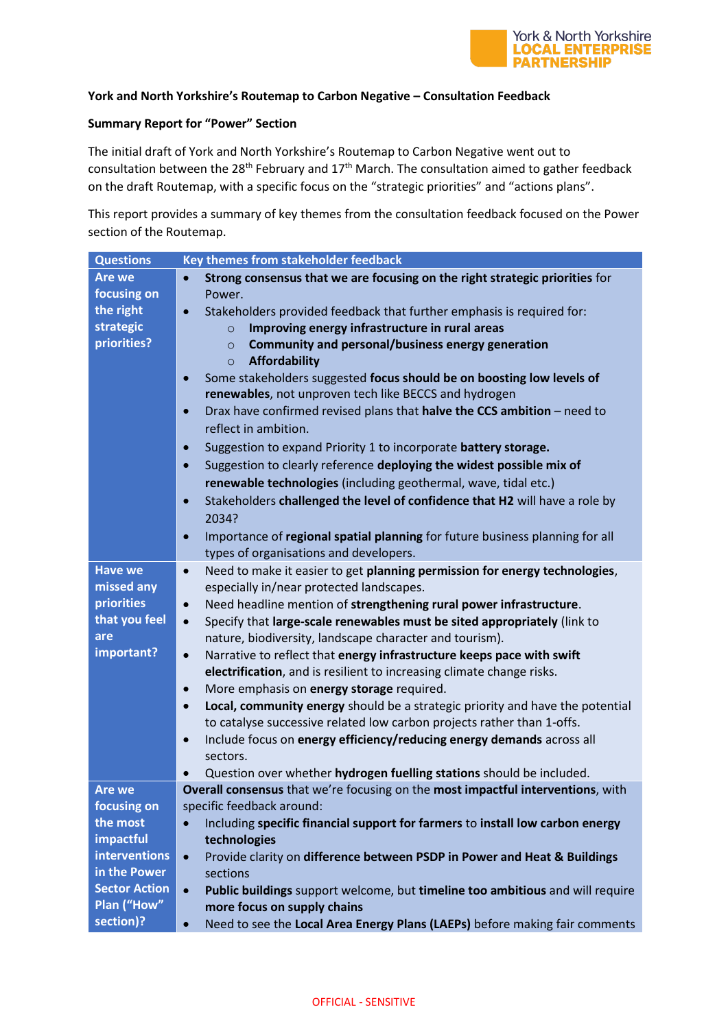

## **York and North Yorkshire's Routemap to Carbon Negative – Consultation Feedback**

## **Summary Report for "Power" Section**

The initial draft of York and North Yorkshire's Routemap to Carbon Negative went out to consultation between the 28<sup>th</sup> February and  $17<sup>th</sup>$  March. The consultation aimed to gather feedback on the draft Routemap, with a specific focus on the "strategic priorities" and "actions plans".

This report provides a summary of key themes from the consultation feedback focused on the Power section of the Routemap.

| <b>Questions</b>     | Key themes from stakeholder feedback                                                         |
|----------------------|----------------------------------------------------------------------------------------------|
| <b>Are we</b>        | Strong consensus that we are focusing on the right strategic priorities for                  |
| focusing on          | Power.                                                                                       |
| the right            | Stakeholders provided feedback that further emphasis is required for:                        |
| strategic            | Improving energy infrastructure in rural areas<br>$\circ$                                    |
| priorities?          | <b>Community and personal/business energy generation</b><br>$\circ$                          |
|                      | <b>Affordability</b><br>$\circ$                                                              |
|                      | Some stakeholders suggested focus should be on boosting low levels of<br>$\bullet$           |
|                      | renewables, not unproven tech like BECCS and hydrogen                                        |
|                      | Drax have confirmed revised plans that halve the CCS ambition - need to<br>$\bullet$         |
|                      | reflect in ambition.                                                                         |
|                      | Suggestion to expand Priority 1 to incorporate battery storage.<br>$\bullet$                 |
|                      | Suggestion to clearly reference deploying the widest possible mix of<br>$\bullet$            |
|                      | renewable technologies (including geothermal, wave, tidal etc.)                              |
|                      | Stakeholders challenged the level of confidence that H2 will have a role by<br>$\bullet$     |
|                      | 2034?                                                                                        |
|                      | Importance of regional spatial planning for future business planning for all<br>$\bullet$    |
|                      | types of organisations and developers.                                                       |
| <b>Have we</b>       | Need to make it easier to get planning permission for energy technologies,<br>$\bullet$      |
| missed any           | especially in/near protected landscapes.                                                     |
| priorities           | Need headline mention of strengthening rural power infrastructure.<br>$\bullet$              |
| that you feel        | Specify that large-scale renewables must be sited appropriately (link to<br>$\bullet$        |
| are                  | nature, biodiversity, landscape character and tourism).                                      |
| important?           | Narrative to reflect that energy infrastructure keeps pace with swift<br>$\bullet$           |
|                      | electrification, and is resilient to increasing climate change risks.                        |
|                      | More emphasis on energy storage required.<br>$\bullet$                                       |
|                      | Local, community energy should be a strategic priority and have the potential<br>$\bullet$   |
|                      | to catalyse successive related low carbon projects rather than 1-offs.                       |
|                      | Include focus on energy efficiency/reducing energy demands across all                        |
|                      | $\bullet$<br>sectors.                                                                        |
|                      | Question over whether hydrogen fuelling stations should be included.                         |
| <b>Are we</b>        | $\bullet$<br>Overall consensus that we're focusing on the most impactful interventions, with |
| focusing on          | specific feedback around:                                                                    |
| the most             | Including specific financial support for farmers to install low carbon energy<br>$\bullet$   |
| impactful            | technologies                                                                                 |
| interventions        | Provide clarity on difference between PSDP in Power and Heat & Buildings<br>$\bullet$        |
| in the Power         | sections                                                                                     |
| <b>Sector Action</b> | Public buildings support welcome, but timeline too ambitious and will require<br>$\bullet$   |
| Plan ("How"          | more focus on supply chains                                                                  |
| section)?            |                                                                                              |
|                      | Need to see the Local Area Energy Plans (LAEPs) before making fair comments<br>$\bullet$     |